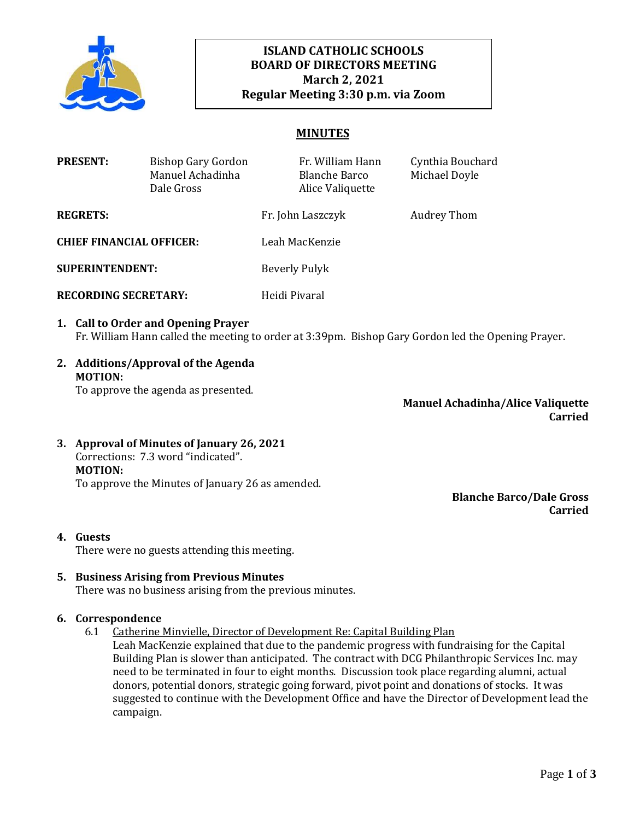

# **ISLAND CATHOLIC SCHOOLS BOARD OF DIRECTORS MEETING March 2, 2021 Regular Meeting 3:30 p.m. via Zoom**

## **MINUTES**

| <b>PRESENT:</b>                 | Bishop Gary Gordon<br>Manuel Achadinha<br>Dale Gross |                | Fr. William Hann<br><b>Blanche Barco</b><br>Alice Valiquette | Cynthia Bouchard<br>Michael Doyle |
|---------------------------------|------------------------------------------------------|----------------|--------------------------------------------------------------|-----------------------------------|
| <b>REGRETS:</b>                 |                                                      |                | Fr. John Laszczyk                                            | Audrey Thom                       |
| <b>CHIEF FINANCIAL OFFICER:</b> |                                                      | Leah MacKenzie |                                                              |                                   |
| <b>SUPERINTENDENT:</b>          |                                                      | Beverly Pulyk  |                                                              |                                   |
| <b>RECORDING SECRETARY:</b>     |                                                      | Heidi Pivaral  |                                                              |                                   |

- **1. Call to Order and Opening Prayer**  Fr. William Hann called the meeting to order at 3:39pm. Bishop Gary Gordon led the Opening Prayer.
- **2. Additions/Approval of the Agenda MOTION:**

To approve the agenda as presented.

**Manuel Achadinha/Alice Valiquette Carried**

**3. Approval of Minutes of January 26, 2021** Corrections: 7.3 word "indicated". **MOTION:** To approve the Minutes of January 26 as amended.

> **Blanche Barco/Dale Gross Carried**

**4. Guests**

There were no guests attending this meeting.

## **5. Business Arising from Previous Minutes**

There was no business arising from the previous minutes.

#### **6. Correspondence**

- 6.1 Catherine Minvielle, Director of Development Re: Capital Building Plan
	- Leah MacKenzie explained that due to the pandemic progress with fundraising for the Capital Building Plan is slower than anticipated. The contract with DCG Philanthropic Services Inc. may need to be terminated in four to eight months. Discussion took place regarding alumni, actual donors, potential donors, strategic going forward, pivot point and donations of stocks. It was suggested to continue with the Development Office and have the Director of Development lead the campaign.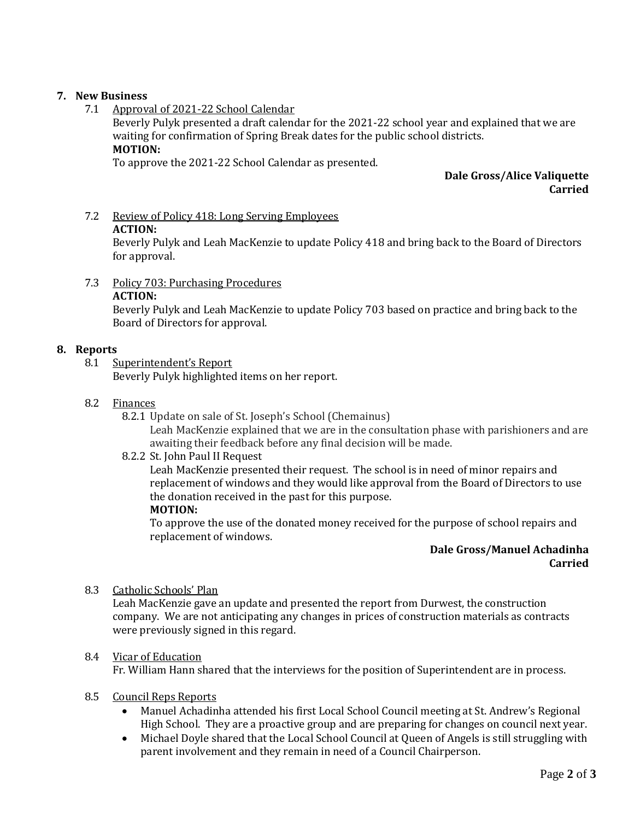## **7. New Business**

7.1 Approval of 2021-22 School Calendar

Beverly Pulyk presented a draft calendar for the 2021-22 school year and explained that we are waiting for confirmation of Spring Break dates for the public school districts. **MOTION:** 

To approve the 2021-22 School Calendar as presented.

## **Dale Gross/Alice Valiquette Carried**

# 7.2 Review of Policy 418: Long Serving Employees

#### **ACTION:**

Beverly Pulyk and Leah MacKenzie to update Policy 418 and bring back to the Board of Directors for approval.

7.3 Policy 703: Purchasing Procedures **ACTION:** 

> Beverly Pulyk and Leah MacKenzie to update Policy 703 based on practice and bring back to the Board of Directors for approval.

## **8. Reports**

8.1 Superintendent's Report

Beverly Pulyk highlighted items on her report.

#### 8.2 Finances

8.2.1 Update on sale of St. Joseph's School (Chemainus)

Leah MacKenzie explained that we are in the consultation phase with parishioners and are awaiting their feedback before any final decision will be made.

8.2.2 St. John Paul II Request

Leah MacKenzie presented their request. The school is in need of minor repairs and replacement of windows and they would like approval from the Board of Directors to use the donation received in the past for this purpose.

## **MOTION:**

To approve the use of the donated money received for the purpose of school repairs and replacement of windows.

#### **Dale Gross/Manuel Achadinha Carried**

8.3 Catholic Schools' Plan

Leah MacKenzie gave an update and presented the report from Durwest, the construction company. We are not anticipating any changes in prices of construction materials as contracts were previously signed in this regard.

#### 8.4 Vicar of Education

Fr. William Hann shared that the interviews for the position of Superintendent are in process.

- 8.5 Council Reps Reports
	- Manuel Achadinha attended his first Local School Council meeting at St. Andrew's Regional High School. They are a proactive group and are preparing for changes on council next year.
	- Michael Doyle shared that the Local School Council at Queen of Angels is still struggling with parent involvement and they remain in need of a Council Chairperson.